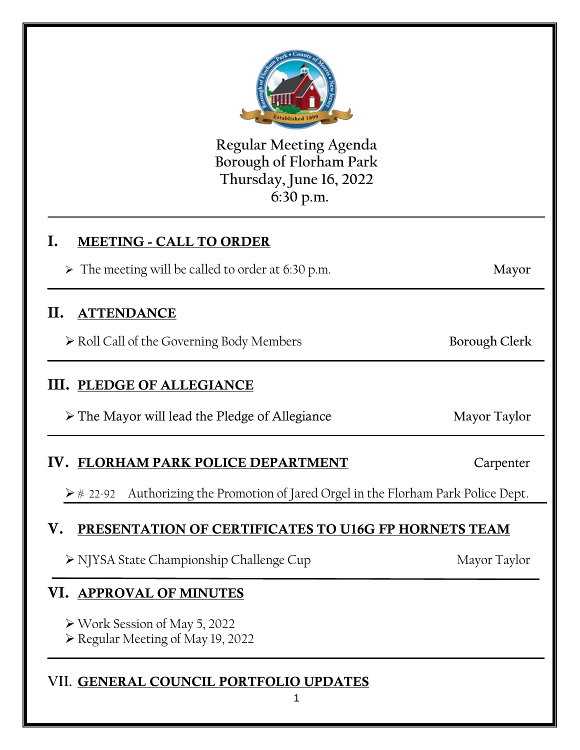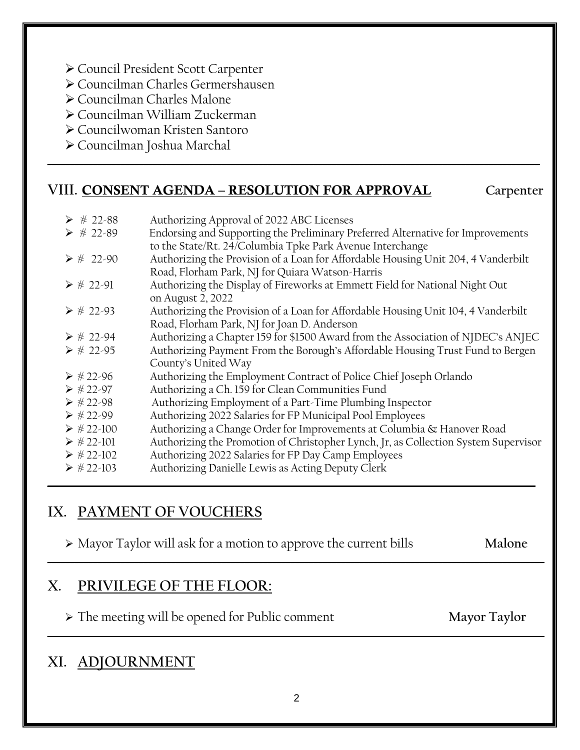- Council President Scott Carpenter
- Councilman Charles Germershausen
- Councilman Charles Malone
- Councilman William Zuckerman
- Councilwoman Kristen Santoro
- Councilman Joshua Marchal

## **VIII. CONSENT AGENDA – RESOLUTION FOR APPROVAL Carpenter**

| $\triangleright$ # 22-88    |                                                                                     |
|-----------------------------|-------------------------------------------------------------------------------------|
|                             | Authorizing Approval of 2022 ABC Licenses                                           |
| $\triangleright$ # 22-89    | Endorsing and Supporting the Preliminary Preferred Alternative for Improvements     |
|                             | to the State/Rt. 24/Columbia Tpke Park Avenue Interchange                           |
| $\triangleright$ # 22-90    | Authorizing the Provision of a Loan for Affordable Housing Unit 204, 4 Vanderbilt   |
|                             | Road, Florham Park, NJ for Quiara Watson-Harris                                     |
|                             |                                                                                     |
| $\triangleright \# 22 - 91$ | Authorizing the Display of Fireworks at Emmett Field for National Night Out         |
|                             | on August 2, 2022                                                                   |
| $\triangleright \# 22 - 93$ | Authorizing the Provision of a Loan for Affordable Housing Unit 104, 4 Vanderbilt   |
|                             | Road, Florham Park, NJ for Joan D. Anderson                                         |
| $\triangleright$ # 22-94    | Authorizing a Chapter 159 for \$1500 Award from the Association of NJDEC's ANJEC    |
| $\triangleright$ # 22-95    | Authorizing Payment From the Borough's Affordable Housing Trust Fund to Bergen      |
|                             | County's United Way                                                                 |
| $\triangleright$ #22-96     |                                                                                     |
|                             | Authorizing the Employment Contract of Police Chief Joseph Orlando                  |
| $\triangleright$ #22-97     | Authorizing a Ch. 159 for Clean Communities Fund                                    |
| $\triangleright$ #22-98     | Authorizing Employment of a Part-Time Plumbing Inspector                            |
| $\triangleright$ #22-99     | Authorizing 2022 Salaries for FP Municipal Pool Employees                           |
| $\triangleright$ #22-100    | Authorizing a Change Order for Improvements at Columbia & Hanover Road              |
| $\triangleright$ #22-101    |                                                                                     |
|                             | Authorizing the Promotion of Christopher Lynch, Jr, as Collection System Supervisor |
| $\triangleright$ #22-102    | Authorizing 2022 Salaries for FP Day Camp Employees                                 |
| $\triangleright$ # 22-103   | Authorizing Danielle Lewis as Acting Deputy Clerk                                   |
|                             |                                                                                     |

**\_\_\_\_\_\_\_\_\_\_\_\_\_\_\_\_\_\_\_\_\_\_\_\_\_\_\_\_\_\_\_\_\_\_\_\_\_\_\_\_\_\_\_\_\_\_\_\_\_\_\_\_\_\_\_\_\_\_\_\_\_\_\_\_\_\_\_\_\_\_\_\_\_\_\_\_\_\_\_\_\_\_\_\_\_\_\_\_\_\_\_\_\_\_\_\_\_\_\_\_\_\_\_\_\_\_\_**

## **IX. PAYMENT OF VOUCHERS**

Mayor Taylor will ask for a motion to approve the current bills **Malone**

**\_\_\_\_\_\_\_\_\_\_\_\_\_\_\_\_\_\_\_\_\_\_\_\_\_\_\_\_\_\_\_\_\_\_\_\_\_\_\_\_\_\_\_\_\_\_\_\_\_\_\_\_\_\_\_\_\_\_\_\_\_\_\_\_\_\_\_\_\_\_\_\_\_\_\_\_\_\_\_\_\_\_\_\_\_\_\_\_\_\_\_\_\_\_\_\_\_\_\_\_\_\_\_\_\_\_\_\_**

**\_\_\_\_\_\_\_\_\_\_\_\_\_\_\_\_\_\_\_\_\_\_\_\_\_\_\_\_\_\_\_\_\_\_\_\_\_\_\_\_\_\_\_\_\_\_\_\_\_\_\_\_\_\_\_\_\_\_\_\_\_\_\_\_\_\_\_\_\_\_\_\_\_\_\_\_\_\_\_\_\_\_\_\_\_\_\_\_\_\_\_\_\_\_\_\_\_\_\_\_\_\_\_\_\_\_**

## **X. PRIVILEGE OF THE FLOOR:**

The meeting will be opened for Public comment **Mayor Taylor**

## **XI. ADJOURNMENT**

**\_\_\_\_\_\_\_\_\_\_\_\_\_\_\_\_\_\_\_\_\_\_\_\_\_\_\_\_\_\_\_\_\_\_\_\_\_\_\_\_\_\_\_\_\_\_\_\_\_\_\_\_\_\_\_\_\_\_\_\_\_\_\_\_\_\_\_\_\_\_\_\_\_\_\_\_\_\_\_\_\_\_\_\_\_\_\_\_\_\_\_\_\_\_\_\_\_\_\_\_\_\_\_\_\_\_\_\_**